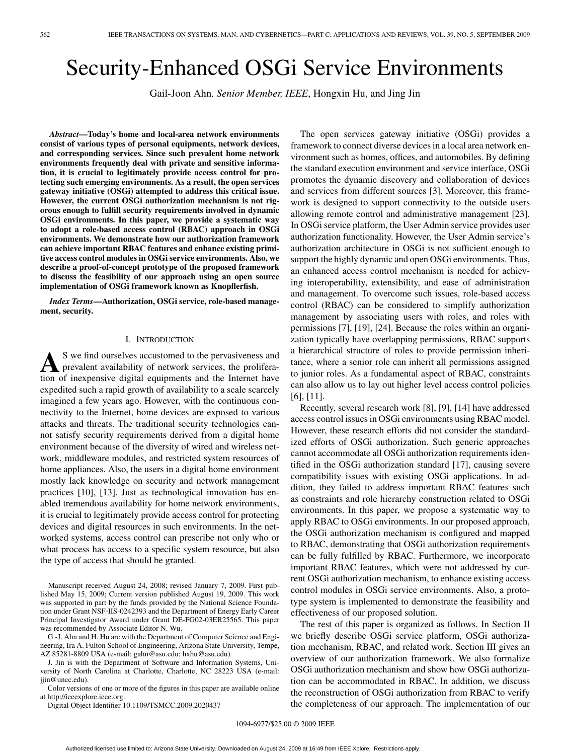# Security-Enhanced OSGi Service Environments

Gail-Joon Ahn*, Senior Member, IEEE*, Hongxin Hu, and Jing Jin

*Abstract***—Today's home and local-area network environments consist of various types of personal equipments, network devices, and corresponding services. Since such prevalent home network environments frequently deal with private and sensitive information, it is crucial to legitimately provide access control for protecting such emerging environments. As a result, the open services gateway initiative (OSGi) attempted to address this critical issue. However, the current OSGi authorization mechanism is not rigorous enough to fulfill security requirements involved in dynamic OSGi environments. In this paper, we provide a systematic way to adopt a role-based access control (RBAC) approach in OSGi environments. We demonstrate how our authorization framework can achieve important RBAC features and enhance existing primitive access control modules in OSGi service environments. Also, we describe a proof-of-concept prototype of the proposed framework to discuss the feasibility of our approach using an open source implementation of OSGi framework known as Knopflerfish.**

*Index Terms***—Authorization, OSGi service, role-based management, security.**

#### I. INTRODUCTION

A S we find ourselves accustomed to the pervasiveness and<br>prevalent availability of network services, the prolifera-<br>tion of inexpensive digital equipments and the Internet have tion of inexpensive digital equipments and the Internet have expedited such a rapid growth of availability to a scale scarcely imagined a few years ago. However, with the continuous connectivity to the Internet, home devices are exposed to various attacks and threats. The traditional security technologies cannot satisfy security requirements derived from a digital home environment because of the diversity of wired and wireless network, middleware modules, and restricted system resources of home appliances. Also, the users in a digital home environment mostly lack knowledge on security and network management practices [10], [13]. Just as technological innovation has enabled tremendous availability for home network environments, it is crucial to legitimately provide access control for protecting devices and digital resources in such environments. In the networked systems, access control can prescribe not only who or what process has access to a specific system resource, but also the type of access that should be granted.

Manuscript received August 24, 2008; revised January 7, 2009. First published May 15, 2009; Current version published August 19, 2009. This work was supported in part by the funds provided by the National Science Foundation under Grant NSF-IIS-0242393 and the Department of Energy Early Career Principal Investigator Award under Grant DE-FG02-03ER25565. This paper was recommended by Associate Editor N. Wu.

G.-J. Ahn and H. Hu are with the Department of Computer Science and Engineering, Ira A. Fulton School of Engineering, Arizona State University, Tempe, AZ 85281-8809 USA (e-mail: gahn@asu.edu; hxhu@asu.edu).

J. Jin is with the Department of Software and Information Systems, University of North Carolina at Charlotte, Charlotte, NC 28223 USA (e-mail: jjin@uncc.edu).

Color versions of one or more of the figures in this paper are available online at http://ieeexplore.ieee.org.

Digital Object Identifier 10.1109/TSMCC.2009.2020437

The open services gateway initiative (OSGi) provides a framework to connect diverse devices in a local area network environment such as homes, offices, and automobiles. By defining the standard execution environment and service interface, OSGi promotes the dynamic discovery and collaboration of devices and services from different sources [3]. Moreover, this framework is designed to support connectivity to the outside users allowing remote control and administrative management [23]. In OSGi service platform, the User Admin service provides user authorization functionality. However, the User Admin service's authorization architecture in OSGi is not sufficient enough to support the highly dynamic and open OSGi environments. Thus, an enhanced access control mechanism is needed for achieving interoperability, extensibility, and ease of administration and management. To overcome such issues, role-based access control (RBAC) can be considered to simplify authorization management by associating users with roles, and roles with permissions [7], [19], [24]. Because the roles within an organization typically have overlapping permissions, RBAC supports a hierarchical structure of roles to provide permission inheritance, where a senior role can inherit all permissions assigned to junior roles. As a fundamental aspect of RBAC, constraints can also allow us to lay out higher level access control policies [6], [11].

Recently, several research work [8], [9], [14] have addressed access control issues in OSGi environments using RBAC model. However, these research efforts did not consider the standardized efforts of OSGi authorization. Such generic approaches cannot accommodate all OSGi authorization requirements identified in the OSGi authorization standard [17], causing severe compatibility issues with existing OSGi applications. In addition, they failed to address important RBAC features such as constraints and role hierarchy construction related to OSGi environments. In this paper, we propose a systematic way to apply RBAC to OSGi environments. In our proposed approach, the OSGi authorization mechanism is configured and mapped to RBAC, demonstrating that OSGi authorization requirements can be fully fulfilled by RBAC. Furthermore, we incorporate important RBAC features, which were not addressed by current OSGi authorization mechanism, to enhance existing access control modules in OSGi service environments. Also, a prototype system is implemented to demonstrate the feasibility and effectiveness of our proposed solution.

The rest of this paper is organized as follows. In Section II we briefly describe OSGi service platform, OSGi authorization mechanism, RBAC, and related work. Section III gives an overview of our authorization framework. We also formalize OSGi authorization mechanism and show how OSGi authorization can be accommodated in RBAC. In addition, we discuss the reconstruction of OSGi authorization from RBAC to verify the completeness of our approach. The implementation of our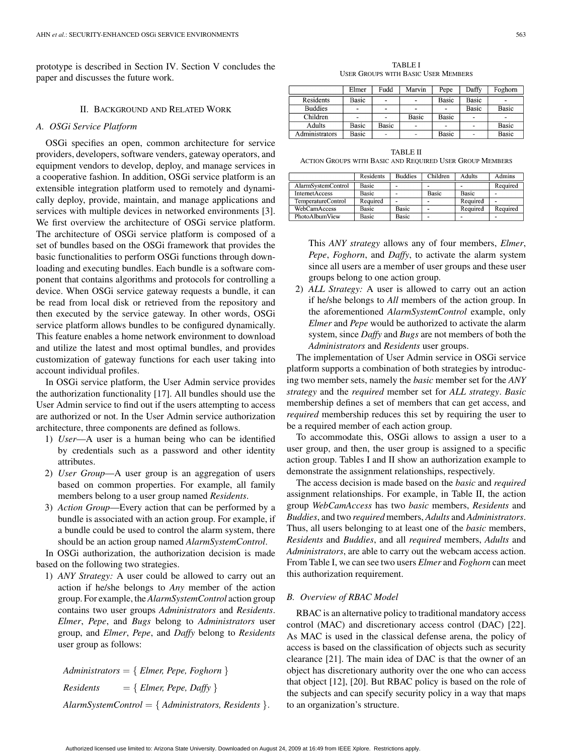prototype is described in Section IV. Section V concludes the paper and discusses the future work.

# II. BACKGROUND AND RELATED WORK

# *A. OSGi Service Platform*

OSGi specifies an open, common architecture for service providers, developers, software venders, gateway operators, and equipment vendors to develop, deploy, and manage services in a cooperative fashion. In addition, OSGi service platform is an extensible integration platform used to remotely and dynamically deploy, provide, maintain, and manage applications and services with multiple devices in networked environments [3]. We first overview the architecture of OSGi service platform. The architecture of OSGi service platform is composed of a set of bundles based on the OSGi framework that provides the basic functionalities to perform OSGi functions through downloading and executing bundles. Each bundle is a software component that contains algorithms and protocols for controlling a device. When OSGi service gateway requests a bundle, it can be read from local disk or retrieved from the repository and then executed by the service gateway. In other words, OSGi service platform allows bundles to be configured dynamically. This feature enables a home network environment to download and utilize the latest and most optimal bundles, and provides customization of gateway functions for each user taking into account individual profiles.

In OSGi service platform, the User Admin service provides the authorization functionality [17]. All bundles should use the User Admin service to find out if the users attempting to access are authorized or not. In the User Admin service authorization architecture, three components are defined as follows.

- 1) *User*—A user is a human being who can be identified by credentials such as a password and other identity attributes.
- 2) *User Group*—A user group is an aggregation of users based on common properties. For example, all family members belong to a user group named *Residents*.
- 3) *Action Group*—Every action that can be performed by a bundle is associated with an action group. For example, if a bundle could be used to control the alarm system, there should be an action group named *AlarmSystemControl*.

In OSGi authorization, the authorization decision is made based on the following two strategies.

1) *ANY Strategy:* A user could be allowed to carry out an action if he/she belongs to *Any* member of the action group. For example, the *AlarmSystemControl* action group contains two user groups *Administrators* and *Residents*. *Elmer*, *Pepe*, and *Bugs* belong to *Administrators* user group, and *Elmer*, *Pepe*, and *Daffy* belong to *Residents* user group as follows:

*Administrators* = { *Elmer, Pepe, Foghorn* }  $Residents = \{$  *Elmer, Pepe, Daffy*  $\}$ 

*AlarmSystemControl* = { *Administrators, Residents* }.

TABLE I USER GROUPS WITH BASIC USER MEMBERS

|                | Elmer                    | Fudd                     | Marvin                   | Pepe  | Daffy                    | Foghorn      |
|----------------|--------------------------|--------------------------|--------------------------|-------|--------------------------|--------------|
| Residents      | Basic                    | ۰                        | $\overline{\phantom{a}}$ | Basic | Basic                    |              |
| <b>Buddies</b> | $\overline{\phantom{a}}$ | $\overline{\phantom{a}}$ | ۰                        |       | Basic                    | Basic        |
| Children       |                          |                          | <b>Basic</b>             | Basic |                          |              |
| Adults         | Basic                    | Basic                    | $\overline{\phantom{a}}$ |       | $\overline{\phantom{a}}$ | <b>Basic</b> |
| dministrators  | <b>Basic</b>             |                          |                          | Basic |                          | <b>Basic</b> |

TABLE II ACTION GROUPS WITH BASIC AND REQUIRED USER GROUP MEMBERS

|                       | Residents    | <b>Buddies</b> | Children | Adults   | Admins   |
|-----------------------|--------------|----------------|----------|----------|----------|
| AlarmSystemControl    | Basic        |                |          |          | Required |
| <b>InternetAccess</b> | <b>Basic</b> |                | Basic    | Basic    |          |
| TemperatureControl    | Required     | -              |          | Required |          |
| WebCamAccess          | Basic        | Basic          |          | Required | Required |
| PhotoAlbumView        | Basic        | Basic          |          |          |          |

This *ANY strategy* allows any of four members, *Elmer*, *Pepe*, *Foghorn*, and *Daffy*, to activate the alarm system since all users are a member of user groups and these user groups belong to one action group.

2) *ALL Strategy:* A user is allowed to carry out an action if he/she belongs to *All* members of the action group. In the aforementioned *AlarmSystemControl* example, only *Elmer* and *Pepe* would be authorized to activate the alarm system, since *Daffy* and *Bugs* are not members of both the *Administrators* and *Residents* user groups.

The implementation of User Admin service in OSGi service platform supports a combination of both strategies by introducing two member sets, namely the *basic* member set for the *ANY strategy* and the *required* member set for *ALL strategy*. *Basic* membership defines a set of members that can get access, and *required* membership reduces this set by requiring the user to be a required member of each action group.

To accommodate this, OSGi allows to assign a user to a user group, and then, the user group is assigned to a specific action group. Tables I and II show an authorization example to demonstrate the assignment relationships, respectively.

The access decision is made based on the *basic* and *required* assignment relationships. For example, in Table II, the action group *WebCamAccess* has two *basic* members, *Residents* and *Buddies*, and two *required* members, *Adults* and *Administrators*. Thus, all users belonging to at least one of the *basic* members, *Residents* and *Buddies*, and all *required* members, *Adults* and *Administrators*, are able to carry out the webcam access action. From Table I, we can see two users *Elmer* and *Foghorn* can meet this authorization requirement.

# *B. Overview of RBAC Model*

RBAC is an alternative policy to traditional mandatory access control (MAC) and discretionary access control (DAC) [22]. As MAC is used in the classical defense arena, the policy of access is based on the classification of objects such as security clearance [21]. The main idea of DAC is that the owner of an object has discretionary authority over the one who can access that object [12], [20]. But RBAC policy is based on the role of the subjects and can specify security policy in a way that maps to an organization's structure.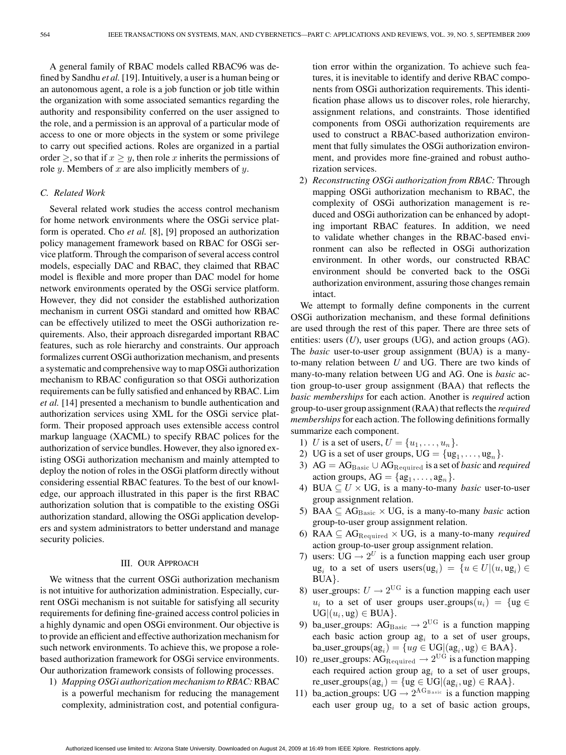A general family of RBAC models called RBAC96 was defined by Sandhu *et al.* [19]. Intuitively, a user is a human being or an autonomous agent, a role is a job function or job title within the organization with some associated semantics regarding the authority and responsibility conferred on the user assigned to the role, and a permission is an approval of a particular mode of access to one or more objects in the system or some privilege to carry out specified actions. Roles are organized in a partial order  $\geq$ , so that if  $x \geq y$ , then role x inherits the permissions of role  $y$ . Members of  $x$  are also implicitly members of  $y$ .

# *C. Related Work*

Several related work studies the access control mechanism for home network environments where the OSGi service platform is operated. Cho *et al.* [8], [9] proposed an authorization policy management framework based on RBAC for OSGi service platform. Through the comparison of several access control models, especially DAC and RBAC, they claimed that RBAC model is flexible and more proper than DAC model for home network environments operated by the OSGi service platform. However, they did not consider the established authorization mechanism in current OSGi standard and omitted how RBAC can be effectively utilized to meet the OSGi authorization requirements. Also, their approach disregarded important RBAC features, such as role hierarchy and constraints. Our approach formalizes current OSGi authorization mechanism, and presents a systematic and comprehensive way to map OSGi authorization mechanism to RBAC configuration so that OSGi authorization requirements can be fully satisfied and enhanced by RBAC. Lim *et al.* [14] presented a mechanism to bundle authentication and authorization services using XML for the OSGi service platform. Their proposed approach uses extensible access control markup language (XACML) to specify RBAC polices for the authorization of service bundles. However, they also ignored existing OSGi authorization mechanism and mainly attempted to deploy the notion of roles in the OSGi platform directly without considering essential RBAC features. To the best of our knowledge, our approach illustrated in this paper is the first RBAC authorization solution that is compatible to the existing OSGi authorization standard, allowing the OSGi application developers and system administrators to better understand and manage security policies.

#### III. OUR APPROACH

We witness that the current OSGi authorization mechanism is not intuitive for authorization administration. Especially, current OSGi mechanism is not suitable for satisfying all security requirements for defining fine-grained access control policies in a highly dynamic and open OSGi environment. Our objective is to provide an efficient and effective authorization mechanism for such network environments. To achieve this, we propose a rolebased authorization framework for OSGi service environments. Our authorization framework consists of following processes.

1) *Mapping OSGi authorization mechanism to RBAC:*RBAC is a powerful mechanism for reducing the management complexity, administration cost, and potential configuration error within the organization. To achieve such features, it is inevitable to identify and derive RBAC components from OSGi authorization requirements. This identification phase allows us to discover roles, role hierarchy, assignment relations, and constraints. Those identified components from OSGi authorization requirements are used to construct a RBAC-based authorization environment that fully simulates the OSGi authorization environment, and provides more fine-grained and robust authorization services.

2) *Reconstructing OSGi authorization from RBAC:* Through mapping OSGi authorization mechanism to RBAC, the complexity of OSGi authorization management is reduced and OSGi authorization can be enhanced by adopting important RBAC features. In addition, we need to validate whether changes in the RBAC-based environment can also be reflected in OSGi authorization environment. In other words, our constructed RBAC environment should be converted back to the OSGi authorization environment, assuring those changes remain intact.

We attempt to formally define components in the current OSGi authorization mechanism, and these formal definitions are used through the rest of this paper. There are three sets of entities: users (*U*), user groups (UG), and action groups (AG). The *basic* user-to-user group assignment (BUA) is a manyto-many relation between *U* and UG. There are two kinds of many-to-many relation between UG and AG. One is *basic* action group-to-user group assignment (BAA) that reflects the *basic memberships* for each action. Another is *required* action group-to-user group assignment (RAA) that reflects the *required memberships*for each action. The following definitions formally summarize each component.

- 1) U is a set of users,  $U = \{u_1, ..., u_n\}$ .
- 2) UG is a set of user groups,  $UG = \{ug_1, \ldots, ug_n\}$ .
- 3)  $AG = AG_{Basic} \cup AG_{Required}$  is a set of *basic* and *required* action groups,  $AG = \{ag_1, \ldots, ag_n\}.$
- 4) BUA  $\subseteq U \times UG$ , is a many-to-many *basic* user-to-user group assignment relation.
- 5) BAA  $\subseteq$  AG<sub>Basic</sub>  $\times$  UG, is a many-to-many *basic* action group-to-user group assignment relation.
- 6)  $RAA \subseteq AG_{Required} \times UG$ , is a many-to-many *required* action group-to-user group assignment relation.
- 7) users: UG  $\rightarrow 2^U$  is a function mapping each user group ug<sub>i</sub> to a set of users users(ug<sub>i</sub>) = { $u \in U|(u,ug_i) \in$ BUA}.
- 8) user groups:  $U \rightarrow 2^{UG}$  is a function mapping each user  $u_i$  to a set of user groups user\_groups $(u_i) = \{ug \in$  $UG|(u_i, ug) \in BUA$ .
- 9) ba user groups:  $AG_{\text{Basic}} \rightarrow 2^{\text{UG}}$  is a function mapping each basic action group  $\text{ag}_i$  to a set of user groups, ba\_user\_groups( $ag_i$ ) = { $ug \in UG|(ag_i, ug) \in BAA$  }.
- 10) re user groups:  $\widetilde{AG}_{\text{Required}} \rightarrow 2^{\text{U}}$  is a function mapping each required action group  $\text{ag}_i$  to a set of user groups, re\_user\_groups(ag<sub>i</sub>) = {ug ∈ UG|(ag<sub>i</sub>, ug) ∈ RAA}.
- 11) ba action groups:  $UG \rightarrow 2^{AG_{Basic}}$  is a function mapping each user group  $\iota$  ug<sub>i</sub> to a set of basic action groups,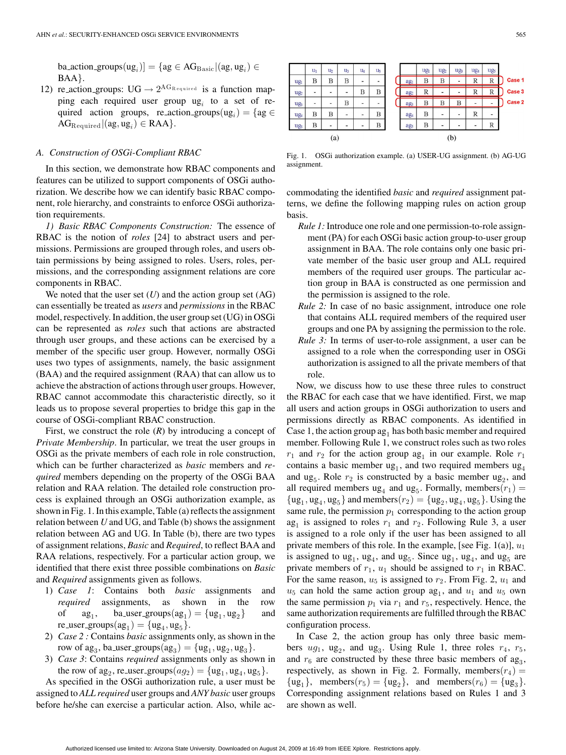ba\_action\_groups(ug<sub>i</sub>)] = {ag ∈ AG<sub>Basic</sub>  $|(ag, ug_i)$  ∈ BAA}.

12) re action groups:  $UG \rightarrow 2^{AG_{\text{Required}}}$  is a function mapping each required user group ug<sub>i</sub> to a set of required action groups, re\_action\_groups(ug<sub>i</sub>) = {ag  $\in$  $AG_{\text{Required}} |(\text{ag}, \text{ug}_i) \in \text{RAA}$ .

#### *A. Construction of OSGi-Compliant RBAC*

In this section, we demonstrate how RBAC components and features can be utilized to support components of OSGi authorization. We describe how we can identify basic RBAC component, role hierarchy, and constraints to enforce OSGi authorization requirements.

*1) Basic RBAC Components Construction:* The essence of RBAC is the notion of *roles* [24] to abstract users and permissions. Permissions are grouped through roles, and users obtain permissions by being assigned to roles. Users, roles, permissions, and the corresponding assignment relations are core components in RBAC.

We noted that the user set  $(U)$  and the action group set  $(AG)$ can essentially be treated as *users* and *permissions* in the RBAC model, respectively. In addition, the user group set (UG) in OSGi can be represented as *roles* such that actions are abstracted through user groups, and these actions can be exercised by a member of the specific user group. However, normally OSGi uses two types of assignments, namely, the basic assignment (BAA) and the required assignment (RAA) that can allow us to achieve the abstraction of actions through user groups. However, RBAC cannot accommodate this characteristic directly, so it leads us to propose several properties to bridge this gap in the course of OSGi-compliant RBAC construction.

First, we construct the role (*R*) by introducing a concept of *Private Membership*. In particular, we treat the user groups in OSGi as the private members of each role in role construction, which can be further characterized as *basic* members and *required* members depending on the property of the OSGi BAA relation and RAA relation. The detailed role construction process is explained through an OSGi authorization example, as shown in Fig. 1. In this example, Table (a) reflects the assignment relation between *U* and UG, and Table (b) shows the assignment relation between AG and UG. In Table (b), there are two types of assignment relations, *Basic* and *Required*, to reflect BAA and RAA relations, respectively. For a particular action group, we identified that there exist three possible combinations on *Basic* and *Required* assignments given as follows.

- 1) *Case 1*: Contains both *basic* assignments and *required* assignments, as shown in the row of  $ag_1$ , ba user groups $(ag_1) = \{ug_1, ug_2\}$  and re\_user\_groups(ag<sub>1</sub>) = {ug<sub>4</sub>, ug<sub>5</sub>}.
- 2) *Case 2 :* Contains *basic* assignments only, as shown in the row of  $\text{ag}_3$ , ba user groups $(\text{ag}_3) = {\text{ug}_1, \text{ug}_2, \text{ug}_3}.$
- 3) *Case 3*: Contains *required* assignments only as shown in the row of  $ag_2$ , re\_user\_groups $(ag_2) = \{ug_1, ug_4, ug_5\}.$

As specified in the OSGi authorization rule, a user must be assigned to *ALL required* user groups and *ANY basic* user groups before he/she can exercise a particular action. Also, while ac-

|                 | $u_1$ | u <sub>2</sub> | U <sub>3</sub> | $u_4$                    | <b>U<sub>5</sub></b> |                 | ug | ug | ug <sub>3</sub> | ug <sub>4</sub> | ug <sub>s</sub> |               |
|-----------------|-------|----------------|----------------|--------------------------|----------------------|-----------------|----|----|-----------------|-----------------|-----------------|---------------|
| ug <sub>l</sub> | Β     | Β              | Β              | ٠                        | ۰                    | ag <sub>1</sub> | B  | Β  | ٠               | R               | R               | Case 1        |
| ug2             | ۰     | -              | ۰              | B                        | Β                    | ag <sub>2</sub> | R  | ٠  | -               | R               | R               | Case 3        |
| ug <sub>3</sub> |       | -              | Β              | $\overline{\phantom{a}}$ | -                    | ag <sub>3</sub> | Β  | Β  | B               | -               | -               | <b>Case 2</b> |
| ug <sub>4</sub> | В     | Β              | z.             | -<br>w                   | Β                    | ag <sub>4</sub> | B  | ٠  | ۰               | R               | ۰               |               |
| ug <sub>5</sub> | B     | -              | ٠              | -                        | B                    | ag <sub>s</sub> | B  | ٠  | -               | -               | R               |               |
|                 |       | (a)            |                |                          |                      |                 |    |    | (b)             |                 |                 |               |

Fig. 1. OSGi authorization example. (a) USER-UG assignment. (b) AG-UG assignment.

commodating the identified *basic* and *required* assignment patterns, we define the following mapping rules on action group basis.

- *Rule 1:* Introduce one role and one permission-to-role assignment (PA) for each OSGi basic action group-to-user group assignment in BAA. The role contains only one basic private member of the basic user group and ALL required members of the required user groups. The particular action group in BAA is constructed as one permission and the permission is assigned to the role.
- *Rule 2:* In case of no basic assignment, introduce one role that contains ALL required members of the required user groups and one PA by assigning the permission to the role.
- *Rule 3:* In terms of user-to-role assignment, a user can be assigned to a role when the corresponding user in OSGi authorization is assigned to all the private members of that role.

Now, we discuss how to use these three rules to construct the RBAC for each case that we have identified. First, we map all users and action groups in OSGi authorization to users and permissions directly as RBAC components. As identified in Case 1, the action group  $ag_1$  has both basic member and required member. Following Rule 1, we construct roles such as two roles  $r_1$  and  $r_2$  for the action group ag<sub>1</sub> in our example. Role  $r_1$ contains a basic member  $ug_1$ , and two required members  $ug_4$ and ug<sub>5</sub>. Role  $r_2$  is constructed by a basic member ug<sub>2</sub>, and all required members ug<sub>4</sub> and ug<sub>5</sub>. Formally, members( $r_1$ ) =  $\{ug_1, ug_4, ug_5\}$  and members $(r_2) = \{ug_2, ug_4, ug_5\}$ . Using the same rule, the permission  $p_1$  corresponding to the action group ag<sub>1</sub> is assigned to roles  $r_1$  and  $r_2$ . Following Rule 3, a user is assigned to a role only if the user has been assigned to all private members of this role. In the example, [see Fig. 1(a)],  $u_1$ is assigned to  $ug_1$ ,  $ug_4$ , and  $ug_5$ . Since  $ug_1$ ,  $ug_4$ , and  $ug_5$  are private members of  $r_1$ ,  $u_1$  should be assigned to  $r_1$  in RBAC. For the same reason,  $u_5$  is assigned to  $r_2$ . From Fig. 2,  $u_1$  and  $u_5$  can hold the same action group ag<sub>1</sub>, and  $u_1$  and  $u_5$  own the same permission  $p_1$  via  $r_1$  and  $r_5$ , respectively. Hence, the same authorization requirements are fulfilled through the RBAC configuration process.

In Case 2, the action group has only three basic members  $ug_1$ ,  $ug_2$ , and  $ug_3$ . Using Rule 1, three roles  $r_4$ ,  $r_5$ , and  $r_6$  are constructed by these three basic members of  $\text{ag}_3$ , respectively, as shown in Fig. 2. Formally, members( $r_4$ ) =  $\{ug_1\}$ , members $(r_5) = \{ug_2\}$ , and members $(r_6) = \{ug_3\}$ . Corresponding assignment relations based on Rules 1 and 3 are shown as well.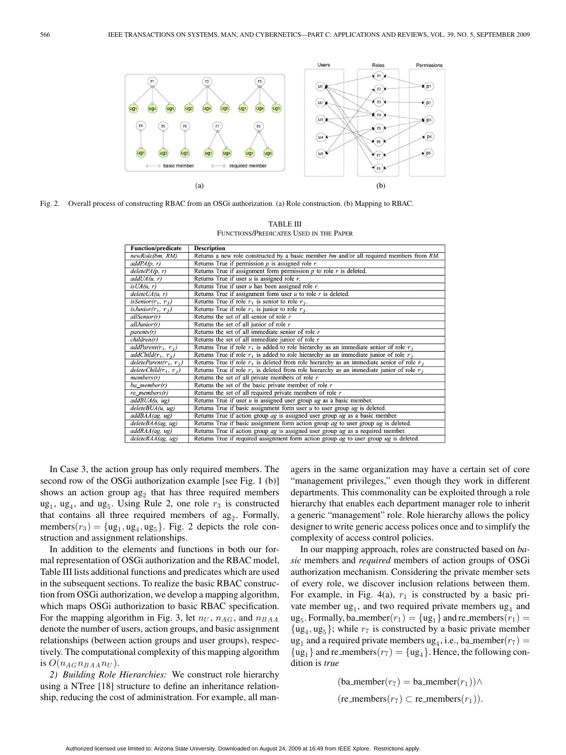

Fig. 2. Overall process of constructing RBAC from an OSGi authorization. (a) Role construction. (b) Mapping to RBAC.

TABLE III FUNCTIONS/PREDICATES USED IN THE PAPER

| <b>Function/predicate</b>        | <b>Description</b>                                                                                    |
|----------------------------------|-------------------------------------------------------------------------------------------------------|
| newRole(bm, RM)                  | Returns a new role constructed by a basic member <i>bm</i> and/or all required members from RM.       |
| addPA(p, r)                      | Returns True if permission $p$ is assigned role $r$ .                                                 |
| deletePA(p, r)                   | Returns True if assignment form permission $p$ to role $r$ is deleted.                                |
| addUA(u, r)                      | Returns True if user $u$ is assigned role $r$ .                                                       |
| i s U A(u, r)                    | Returns True if user $u$ has been assigned role $r$ .                                                 |
| deleteUA(u, r)                   | Returns True if assignment form user $u$ to role $r$ is deleted.                                      |
| is Senior $(r_i, r_i)$           | Returns True if role $r_i$ is senior to role $r_i$ .                                                  |
| is Junior $(r_i, r_j)$           | Returns True if role $r_i$ is junior to role $r_i$ .                                                  |
| allSenior(r)                     | Returns the set of all senior of role $r$                                                             |
| allJunior(r)                     | Returns the set of all junior of role $r$                                                             |
| parents(r)                       | Returns the set of all immediate senior of role $r$                                                   |
| children(r)                      | Returns the set of all immediate junior of role $r$                                                   |
| $\overline{addParent}(r_i, r_j)$ | Returns True if role $r_i$ is added to role hierarchy as an immediate senior of role $r_i$            |
| $addChild(r_i, r_i)$             | Returns True if role $\overline{r_i}$ is added to role hierarchy as an immediate junior of role $r_i$ |
| $deleteParent(r_i, r_i)$         | Returns True if role $r_i$ is deleted from role hierarchy as an immediate senior of role $r_i$        |
| $deleteChild(r_i, r_i)$          | Returns True if role $r_i$ is deleted from role hierarchy as an immediate junior of role $r_i$        |
| members(r)                       | Returns the set of all private members of role $r$                                                    |
| ba_member(r)                     | Returns the set of the basic private member of role $r$                                               |
| $re\_members(r)$                 | Returns the set of all required private members of role $r$                                           |
| $\overline{addBUA(u, ug)}$       | Returns True if user $u$ is assigned user group $uq$ as a basic member.                               |
| $\overline{deleteBUA(u, ug)}$    | Returns True if basic assignment form user $u$ to user group $uq$ is deleted.                         |
| addBAA(ag, ug)                   | Returns True if action group $ag$ is assigned user group $ug$ as a basic member.                      |
| deleteBAA(ag, ug)                | Returns True if basic assignment form action group $ag$ to user group $ug$ is deleted.                |
| addRAA(ag, ug)                   | Returns True if action group $ag$ is assigned user group $ug$ as a required member.                   |
| deleqRAA(ag, ug)                 | Returns True if required assignment form action group $ag$ to user group $ug$ is deleted.             |

In Case 3, the action group has only required members. The second row of the OSGi authorization example [see Fig. 1 (b)] shows an action group  $\text{ag}_2$  that has three required members ug<sub>1</sub>, ug<sub>4</sub>, and ug<sub>5</sub>. Using Rule 2, one role  $r_3$  is constructed that contains all three required members of  $\text{ag}_2$ . Formally, members( $r_3$ ) = {ug<sub>1</sub>, ug<sub>4</sub>, ug<sub>5</sub>}. Fig. 2 depicts the role construction and assignment relationships.

In addition to the elements and functions in both our formal representation of OSGi authorization and the RBAC model, Table III lists additional functions and predicates which are used in the subsequent sections. To realize the basic RBAC construction from OSGi authorization, we develop a mapping algorithm, which maps OSGi authorization to basic RBAC specification. For the mapping algorithm in Fig. 3, let  $n_U$ ,  $n_{AG}$ , and  $n_{BAA}$ denote the number of users, action groups, and basic assignment relationships (between action groups and user groups), respectively. The computational complexity of this mapping algorithm is  $O(n_{AG} n_{BAA} n_U)$ .

*2) Building Role Hierarchies:* We construct role hierarchy using a NTree [18] structure to define an inheritance relationship, reducing the cost of administration. For example, all managers in the same organization may have a certain set of core "management privileges," even though they work in different departments. This commonality can be exploited through a role hierarchy that enables each department manager role to inherit a generic "management" role. Role hierarchy allows the policy designer to write generic access polices once and to simplify the complexity of access control policies.

In our mapping approach, roles are constructed based on *basic* members and *required* members of action groups of OSGi authorization mechanism. Considering the private member sets of every role, we discover inclusion relations between them. For example, in Fig. 4(a),  $r_1$  is constructed by a basic private member  $\mathbf{u}$ <sub>51</sub>, and two required private members  $\mathbf{u}$ <sub>54</sub> and ug<sub>5</sub>. Formally, ba\_member $(r_1) = \{ug_1\}$  and re\_members $(r_1) =$  $\{ug_4, ug_5\}$ ; while  $r_7$  is constructed by a basic private member ug<sub>1</sub> and a required private members ug<sub>4</sub>, i.e., ba\_member( $r_7$ ) =  $\{ug_1\}$  and re\_members $(r_7) = \{ug_4\}$ . Hence, the following condition is *true*

> $(ba_member(r_7) = ba_member(r_1))\wedge$  $(re{\_}members(r_7) \subset re{\_}members(r_1)).$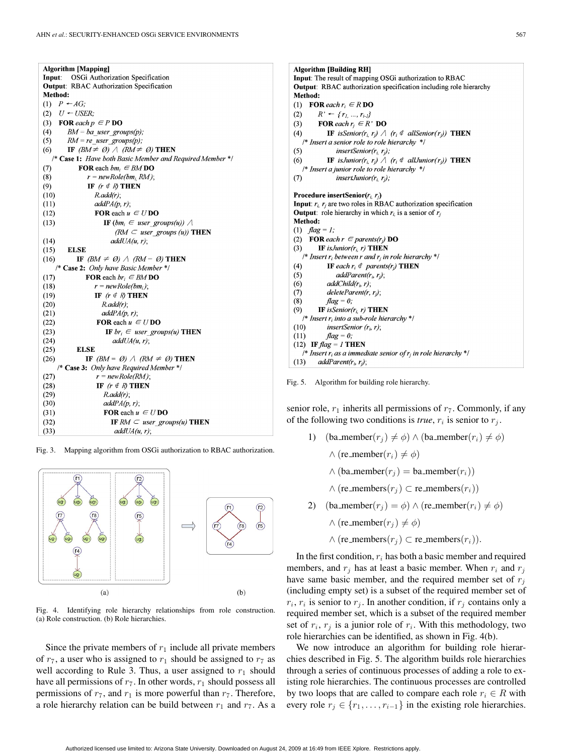| <b>Algorithm</b> [Mapping]                                     | <b>Algorithm [Building RH]</b>                                                                      |  |  |  |  |  |  |
|----------------------------------------------------------------|-----------------------------------------------------------------------------------------------------|--|--|--|--|--|--|
| Input: OSGi Authorization Specification                        | Input: The result of mapping OSGi authorization to RBAC                                             |  |  |  |  |  |  |
| <b>Output: RBAC Authorization Specification</b>                | <b>Output:</b> RBAC authorization specification including role hierarchy                            |  |  |  |  |  |  |
| Method:                                                        | Method:                                                                                             |  |  |  |  |  |  |
| (1) $P \leftarrow AG$ ;                                        | (1) FOR each $r_i \in R$ DO                                                                         |  |  |  |  |  |  |
| (2) $U \leftarrow \text{USER}$ ;                               | (2)<br>$R' \leftarrow \{r_1, , r_{i-l}\}$                                                           |  |  |  |  |  |  |
| (3) FOR each $p \in P$ DO                                      | FOR each $r_i \in R$ ' DO<br>(3)                                                                    |  |  |  |  |  |  |
| (4)<br>$BM = ba$ user groups(p);                               | <b>IF</b> is Senior( $r_i$ , $r_j$ ) $\land$ ( $r_i \notin$ all Senior( $r_j$ )) <b>THEN</b><br>(4) |  |  |  |  |  |  |
| $RM = re$ user groups(p);<br>(5)                               | /* Insert a senior role to role hierarchy */                                                        |  |  |  |  |  |  |
| IF $(BM \neq \emptyset) \land (RM \neq \emptyset)$ THEN<br>(6) | (5)<br><i>insertSenior(r<sub>i</sub>r<sub>i</sub>)</i> ;                                            |  |  |  |  |  |  |
| /* Case 1: Have both Basic Member and Required Member */       | (6)<br><b>IF</b> is Junior( $r_i$ , $r_j$ ) $\land$ ( $r_i \notin$ all Junior( $r_j$ )) <b>THEN</b> |  |  |  |  |  |  |
| FOR each $bm_i \in BM$ DO<br>(7)                               | /* Insert a junior role to role hierarchy */                                                        |  |  |  |  |  |  |
| (8)<br>$r = newRole(bm_i, RM);$                                | (7)<br>insertJunior $(r_i, r_j)$ ;                                                                  |  |  |  |  |  |  |
| IF $(r \notin R)$ THEN<br>(9)                                  |                                                                                                     |  |  |  |  |  |  |
| (10)<br>$R.add(r)$ ;                                           | <b>Procedure insertSenior</b> $(r_i, r_i)$                                                          |  |  |  |  |  |  |
| (11)<br>addPA(p, r);                                           | <b>Input:</b> $r_i$ $r_i$ are two roles in RBAC authorization specification                         |  |  |  |  |  |  |
| (12)<br>FOR each $u \in U$ DO                                  | <b>Output</b> : role hierarchy in which $r_i$ is a senior of $r_i$                                  |  |  |  |  |  |  |
| (13)<br>IF $(bm_i \in user \text{ groups}(u))$ $\wedge$        | Method:                                                                                             |  |  |  |  |  |  |
| $(RM \subseteq user \text{ groups } (u))$ THEN                 | (1) $flag = 1$ ;                                                                                    |  |  |  |  |  |  |
| (14)<br>addUA(u, r);                                           | (2) FOR each $r \in parents(r_i)$ DO                                                                |  |  |  |  |  |  |
| (15)<br><b>ELSE</b>                                            | IF is Junior( $r_i$ , r) THEN<br>(3)                                                                |  |  |  |  |  |  |
| (16)<br>IF $(BM \neq \emptyset) \land (RM = \emptyset)$ THEN   | /* Insert $r_i$ between r and $r_i$ in role hierarchy */                                            |  |  |  |  |  |  |
| /* Case 2: Only have Basic Member */                           | IF each $r_i \notin parents(r_i)$ THEN<br>(4)                                                       |  |  |  |  |  |  |
| FOR each $br_i \in BM$ DO<br>(17)                              | (5)<br>$addParent(r_i, r_j),$                                                                       |  |  |  |  |  |  |
| (18)<br>$r = newRole(bm_i);$                                   | $addChild(r_i, r);$<br>(6)                                                                          |  |  |  |  |  |  |
| IF $(r \notin R)$ THEN<br>(19)                                 | (7)<br>$deleteParent(r, r_i);$                                                                      |  |  |  |  |  |  |
| (20)<br>$R.add(r)$ ;                                           | (8)<br>$flag = 0$ ;                                                                                 |  |  |  |  |  |  |
| (21)<br>addPA(p, r);                                           | <b>IF</b> is Senior( $r_i$ , r) <b>THEN</b><br>(9)                                                  |  |  |  |  |  |  |
| FOR each $u \in U$ DO<br>(22)                                  | /* Insert $r_i$ into a sub-role hierarchy */<br>(10)<br>insertSenior $(r_i, r)$ ;                   |  |  |  |  |  |  |
| (23)<br>IF $br_i \in user \text{ groups}(u)$ THEN              | (11)<br>$flag = 0;$                                                                                 |  |  |  |  |  |  |
| (24)<br>addUA(u, r);                                           | (12) IF $flag = I$ THEN                                                                             |  |  |  |  |  |  |
| <b>ELSE</b><br>(25)                                            | /* Insert $r_i$ as a immediate senior of $r_i$ in role hierarchy */                                 |  |  |  |  |  |  |
| (26)<br>IF $(BM = \emptyset) \land (RM \neq \emptyset)$ THEN   | $addParent(r_i, r_i);$<br>(13)                                                                      |  |  |  |  |  |  |
| /* Case 3: Only have Required Member */                        |                                                                                                     |  |  |  |  |  |  |
| $r = newRole(RM);$<br>(27)                                     |                                                                                                     |  |  |  |  |  |  |
| (28)<br>IF $(r \notin R)$ THEN                                 | Fig. 5. Algorithm for building role hierarchy.                                                      |  |  |  |  |  |  |
| (29)<br>$R.add(r)$ ;                                           |                                                                                                     |  |  |  |  |  |  |
| (30)<br>addPA(p, r);                                           |                                                                                                     |  |  |  |  |  |  |
| (31)<br>FOR each $u \in U$ DO                                  | senior role, $r_1$ inherits all permissions of $r_7$ . Commonly, if any                             |  |  |  |  |  |  |

Fig. 3. Mapping algorithm from OSGi authorization to RBAC authorization.

 $addUA(u, r);$ 

IF  $RM \subseteq$  user\_groups(u) THEN

 $(32)$ 

 $(33)$ 



Fig. 4. Identifying role hierarchy relationships from role construction. (a) Role construction. (b) Role hierarchies.

Since the private members of  $r_1$  include all private members of  $r_7$ , a user who is assigned to  $r_1$  should be assigned to  $r_7$  as well according to Rule 3. Thus, a user assigned to  $r_1$  should have all permissions of  $r_7$ . In other words,  $r_1$  should possess all permissions of  $r_7$ , and  $r_1$  is more powerful than  $r_7$ . Therefore, a role hierarchy relation can be build between  $r_1$  and  $r_7$ . As a

of the following two conditions is *true*,  $r_i$  is senior to  $r_j$ . 1) (ba\_member( $r_i$ )  $\neq \phi$ )  $\wedge$  (ba\_member( $r_i$ )  $\neq \phi$ )

- $\wedge$  (re\_member $(r_i) \neq \phi$ )
- $\wedge$  (ba\_member( $r_i$ ) = ba\_member( $r_i$ ))
- $\wedge$  (re\_members $(r_i)$ ) ⊂ re\_members $(r_i)$ )
- 2) (ba\_member( $r_i$ ) =  $\phi$ )  $\land$  (re\_member( $r_i$ )  $\neq \phi$ )
	- $\wedge$  (re\_member $(r_i) \neq \phi$ )
	- $\wedge$  (re\_members $(r_i) \subset$  re\_members $(r_i)$ ).

In the first condition,  $r_i$  has both a basic member and required members, and  $r_j$  has at least a basic member. When  $r_i$  and  $r_j$ have same basic member, and the required member set of  $r_i$ (including empty set) is a subset of the required member set of  $r_i$ ,  $r_i$  is senior to  $r_j$ . In another condition, if  $r_j$  contains only a required member set, which is a subset of the required member set of  $r_i$ ,  $r_j$  is a junior role of  $r_i$ . With this methodology, two role hierarchies can be identified, as shown in Fig. 4(b).

We now introduce an algorithm for building role hierarchies described in Fig. 5. The algorithm builds role hierarchies through a series of continuous processes of adding a role to existing role hierarchies. The continuous processes are controlled by two loops that are called to compare each role  $r_i \in R$  with every role  $r_j \in \{r_1, \ldots, r_{i-1}\}\$  in the existing role hierarchies.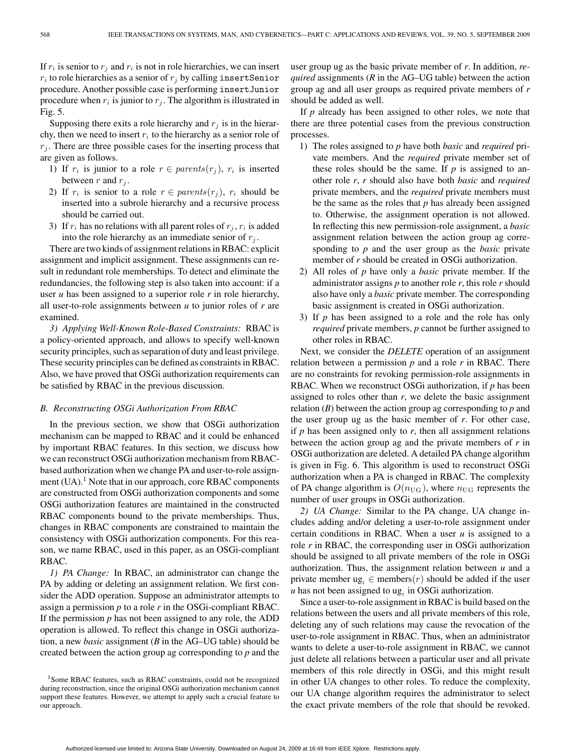If  $r_i$  is senior to  $r_i$  and  $r_i$  is not in role hierarchies, we can insert  $r_i$  to role hierarchies as a senior of  $r_j$  by calling insertSenior procedure. Another possible case is performing insertJunior procedure when  $r_i$  is junior to  $r_i$ . The algorithm is illustrated in Fig. 5.

Supposing there exits a role hierarchy and  $r_j$  is in the hierarchy, then we need to insert  $r_i$  to the hierarchy as a senior role of  $r_j$ . There are three possible cases for the inserting process that are given as follows.

- 1) If  $r_i$  is junior to a role  $r \in parents(r_i)$ ,  $r_i$  is inserted between r and  $r_i$ .
- 2) If  $r_i$  is senior to a role  $r \in parents(r_j)$ ,  $r_i$  should be inserted into a subrole hierarchy and a recursive process should be carried out.
- 3) If  $r_i$  has no relations with all parent roles of  $r_i, r_i$  is added into the role hierarchy as an immediate senior of  $r_i$ .

There are two kinds of assignment relations in RBAC: explicit assignment and implicit assignment. These assignments can result in redundant role memberships. To detect and eliminate the redundancies, the following step is also taken into account: if a user *u* has been assigned to a superior role *r* in role hierarchy, all user-to-role assignments between *u* to junior roles of *r* are examined.

*3) Applying Well-Known Role-Based Constraints:* RBAC is a policy-oriented approach, and allows to specify well-known security principles, such as separation of duty and least privilege. These security principles can be defined as constraints in RBAC. Also, we have proved that OSGi authorization requirements can be satisfied by RBAC in the previous discussion.

# *B. Reconstructing OSGi Authorization From RBAC*

In the previous section, we show that OSGi authorization mechanism can be mapped to RBAC and it could be enhanced by important RBAC features. In this section, we discuss how we can reconstruct OSGi authorization mechanism from RBACbased authorization when we change PA and user-to-role assignment  $(UA)^{1}$ . Note that in our approach, core RBAC components are constructed from OSGi authorization components and some OSGi authorization features are maintained in the constructed RBAC components bound to the private memberships. Thus, changes in RBAC components are constrained to maintain the consistency with OSGi authorization components. For this reason, we name RBAC, used in this paper, as an OSGi-compliant RBAC.

*1) PA Change:* In RBAC, an administrator can change the PA by adding or deleting an assignment relation. We first consider the ADD operation. Suppose an administrator attempts to assign a permission *p* to a role *r* in the OSGi-compliant RBAC. If the permission *p* has not been assigned to any role, the ADD operation is allowed. To reflect this change in OSGi authorization, a new *basic* assignment (*B* in the AG–UG table) should be created between the action group ag corresponding to *p* and the user group ug as the basic private member of *r*. In addition, *required* assignments (*R* in the AG–UG table) between the action group ag and all user groups as required private members of *r* should be added as well.

If *p* already has been assigned to other roles, we note that there are three potential cases from the previous construction processes.

- 1) The roles assigned to *p* have both *basic* and *required* private members. And the *required* private member set of these roles should be the same. If  $p$  is assigned to another role *r*, *r* should also have both *basic* and *required* private members, and the *required* private members must be the same as the roles that *p* has already been assigned to. Otherwise, the assignment operation is not allowed. In reflecting this new permission-role assignment, a *basic* assignment relation between the action group ag corresponding to *p* and the user group as the *basic* private member of *r* should be created in OSGi authorization.
- 2) All roles of *p* have only a *basic* private member. If the administrator assigns *p* to another role *r*, this role *r* should also have only a *basic* private member. The corresponding basic assignment is created in OSGi authorization.
- 3) If *p* has been assigned to a role and the role has only *required* private members, *p* cannot be further assigned to other roles in RBAC.

Next, we consider the *DELETE* operation of an assignment relation between a permission *p* and a role *r* in RBAC. There are no constraints for revoking permission-role assignments in RBAC. When we reconstruct OSGi authorization, if *p* has been assigned to roles other than  $r$ , we delete the basic assignment relation (*B*) between the action group ag corresponding to *p* and the user group ug as the basic member of *r*. For other case, if  $p$  has been assigned only to  $r$ , then all assignment relations between the action group ag and the private members of *r* in OSGi authorization are deleted. A detailed PA change algorithm is given in Fig. 6. This algorithm is used to reconstruct OSGi authorization when a PA is changed in RBAC. The complexity of PA change algorithm is  $O(n_{\text{UG}})$ , where  $n_{\text{UG}}$  represents the number of user groups in OSGi authorization.

*2) UA Change:* Similar to the PA change, UA change includes adding and/or deleting a user-to-role assignment under certain conditions in RBAC. When a user  $u$  is assigned to a role *r* in RBAC, the corresponding user in OSGi authorization should be assigned to all private members of the role in OSGi authorization. Thus, the assignment relation between *u* and a private member  $\text{ug}_i \in \text{members}(r)$  should be added if the user  $u$  has not been assigned to ug<sub>i</sub> in OSGi authorization.

Since a user-to-role assignment in RBAC is build based on the relations between the users and all private members of this role, deleting any of such relations may cause the revocation of the user-to-role assignment in RBAC. Thus, when an administrator wants to delete a user-to-role assignment in RBAC, we cannot just delete all relations between a particular user and all private members of this role directly in OSGi, and this might result in other UA changes to other roles. To reduce the complexity, our UA change algorithm requires the administrator to select the exact private members of the role that should be revoked.

<sup>&</sup>lt;sup>1</sup>Some RBAC features, such as RBAC constraints, could not be recognized during reconstruction, since the original OSGi authorization mechanism cannot support these features. However, we attempt to apply such a crucial feature to our approach.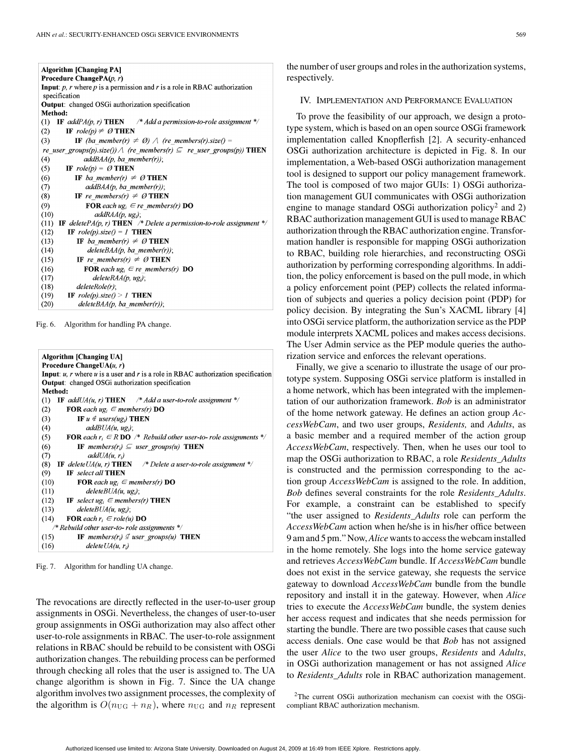#### **Algorithm [Changing PA]**

| <b>Procedure ChangePA(p, r)</b>                                                  |
|----------------------------------------------------------------------------------|
| <b>Input:</b> p, r where p is a permission and r is a role in RBAC authorization |
| specification                                                                    |
| <b>Output:</b> changed OSGi authorization specification                          |
| Method:                                                                          |
| (1) IF addPA(p, r) THEN $\rightarrow$ * Add a permission-to-role assignment */   |
| IF $role(p) \neq \emptyset$ THEN<br>(2)                                          |
| IF (ba member(r) $\neq \emptyset$ ) $\wedge$ (re members(r).size() =<br>(3)      |
| re user groups(p).size()) / (re members(r) $\subseteq$ re user groups(p)) THEN   |
| (4)<br>addBAA(p, ba member(r));                                                  |
| IF $role(p) = \emptyset$ THEN<br>(5)                                             |
| IF ba member(r) $\neq \emptyset$ THEN<br>(6)                                     |
| $addBAA(p, ba \ member(r));$<br>(7)                                              |
| IF re members(r) $\neq \emptyset$ THEN<br>(8)                                    |
| <b>FOR</b> each $ug_i \in re$ members(r) <b>DO</b><br>(9)                        |
| (10)<br>$addRAA(p, ug_i)$ ;                                                      |
| IF deletePA(p, r) THEN /* Delete a permission-to-role assignment */<br>(11)      |
| IF $role(p).size() = 1$ THEN<br>(12)                                             |
| IF ba member(r) $\neq \emptyset$ THEN<br>(13)                                    |
| $deleteBAA(p, ba_member(r));$<br>(14)                                            |
| IF re members $(r) \neq \emptyset$ THEN<br>(15)                                  |
| <b>FOR</b> each $ug_i \in re$ members(r) <b>DO</b><br>(16)                       |
| (17)<br>$deleteRAA(p, ug_i);$                                                    |
| deleteRole(r);<br>(18)                                                           |
| IF $role(p).size() > 1$ THEN<br>(19)                                             |
| deleteBAA(p, ba member(r));<br>(20)                                              |

Fig. 6. Algorithm for handling PA change.

**Algorithm [Changing UA]** Procedure ChangeUA $(u, r)$ Input:  $u$ ,  $r$  where  $u$  is a user and  $r$  is a role in RBAC authorization specification Output: changed OSGi authorization specification Method: (1) IF addUA(u, r) THEN  $\rightarrow$  \* Add a user-to-role assignment \*/  $(2)$ FOR each  $ug_i \in \mathit{members}(r)$  DO  $(3)$ IF  $u \notin users(ug_i)$  THEN  $(4)$  $addBUA(u, ug_i);$ **FOR** each  $r_i \in R$  **DO** /\* Rebuild other user-to- role assignments \*/  $(5)$  $(6)$ IF members( $r_i$ )  $\subseteq$  user\_groups(u) THEN  $(7)$  $addUA(u, r)$ (8) IF delete  $UA(u, r)$  THEN /\* Delete a user-to-role assignment \*/  $(9)$ IF select all THEN  $(10)$ **FOR** each  $ug_i \in \mathit{members}(r)$  **DO**  $(11)$  $deleteBUA(u, ug_i);$  $(12)$ IF select  $ug_i \in \mathit{members}(r)$  THEN  $deleteBUA(u, ug_i);$  $(13)$ FOR each  $r_i \in role(u)$  DO  $(14)$ /\* Rebuild other user-to- role assignments \*/ IF members( $r_j$ )  $\subseteq$  user\_groups(u) THEN  $(15)$  $(16)$  $deleteUA(u, r_i)$ 

Fig. 7. Algorithm for handling UA change.

The revocations are directly reflected in the user-to-user group assignments in OSGi. Nevertheless, the changes of user-to-user group assignments in OSGi authorization may also affect other user-to-role assignments in RBAC. The user-to-role assignment relations in RBAC should be rebuild to be consistent with OSGi authorization changes. The rebuilding process can be performed through checking all roles that the user is assigned to. The UA change algorithm is shown in Fig. 7. Since the UA change algorithm involves two assignment processes, the complexity of the algorithm is  $O(n_{\text{UG}} + n_R)$ , where  $n_{\text{UG}}$  and  $n_R$  represent

the number of user groups and roles in the authorization systems, respectively.

# IV. IMPLEMENTATION AND PERFORMANCE EVALUATION

To prove the feasibility of our approach, we design a prototype system, which is based on an open source OSGi framework implementation called Knopflerfish [2]. A security-enhanced OSGi authorization architecture is depicted in Fig. 8. In our implementation, a Web-based OSGi authorization management tool is designed to support our policy management framework. The tool is composed of two major GUIs: 1) OSGi authorization management GUI communicates with OSGi authorization engine to manage standard OSGi authorization policy<sup>2</sup> and 2) RBAC authorization management GUI is used to manage RBAC authorization through the RBAC authorization engine. Transformation handler is responsible for mapping OSGi authorization to RBAC, building role hierarchies, and reconstructing OSGi authorization by performing corresponding algorithms. In addition, the policy enforcement is based on the pull mode, in which a policy enforcement point (PEP) collects the related information of subjects and queries a policy decision point (PDP) for policy decision. By integrating the Sun's XACML library [4] into OSGi service platform, the authorization service as the PDP module interprets XACML polices and makes access decisions. The User Admin service as the PEP module queries the authorization service and enforces the relevant operations.

Finally, we give a scenario to illustrate the usage of our prototype system. Supposing OSGi service platform is installed in a home network, which has been integrated with the implementation of our authorization framework. *Bob* is an administrator of the home network gateway. He defines an action group *AccessWebCam*, and two user groups, *Residents,* and *Adults*, as a basic member and a required member of the action group *AccessWebCam*, respectively. Then, when he uses our tool to map the OSGi authorization to RBAC, a role *Residents\_Adults* is constructed and the permission corresponding to the action group *AccessWebCam* is assigned to the role. In addition, *Bob* defines several constraints for the role *Residents\_Adults*. For example, a constraint can be established to specify "the user assigned to *Residents\_Adults* role can perform the *AccessWebCam* action when he/she is in his/her office between 9 am and 5 pm." Now,*Alice* wants to access the webcam installed in the home remotely. She logs into the home service gateway and retrieves *AccessWebCam* bundle. If *AccessWebCam* bundle does not exist in the service gateway, she requests the service gateway to download *AccessWebCam* bundle from the bundle repository and install it in the gateway. However, when *Alice* tries to execute the *AccessWebCam* bundle, the system denies her access request and indicates that she needs permission for starting the bundle. There are two possible cases that cause such access denials. One case would be that *Bob* has not assigned the user *Alice* to the two user groups, *Residents* and *Adults*, in OSGi authorization management or has not assigned *Alice* to *Residents\_Adults* role in RBAC authorization management.

2The current OSGi authorization mechanism can coexist with the OSGicompliant RBAC authorization mechanism.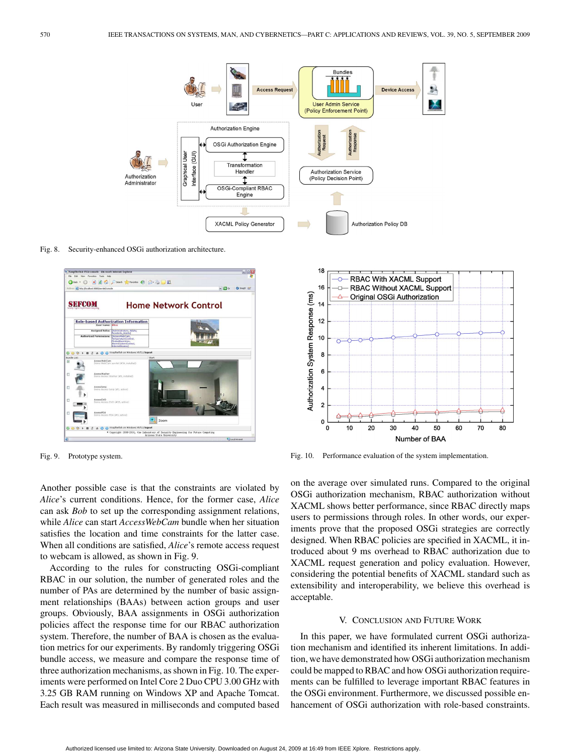

Fig. 8. Security-enhanced OSGi authorization architecture.



18 **RBAC With XACML Support**  $16$ **RBAC Without XACML Support** Response (ms) Original OSGi Authorization  $14$  $12$ 10 **Authorization System** 8 6 4  $\overline{2}$ 0  $\mathbf 0$ 10 20 30 40 50 60 70 80 Number of BAA

Fig. 9. Prototype system.

Another possible case is that the constraints are violated by *Alice*'s current conditions. Hence, for the former case, *Alice* can ask *Bob* to set up the corresponding assignment relations, while *Alice* can start *AccessWebCam* bundle when her situation satisfies the location and time constraints for the latter case. When all conditions are satisfied, *Alice*'s remote access request to webcam is allowed, as shown in Fig. 9.

According to the rules for constructing OSGi-compliant RBAC in our solution, the number of generated roles and the number of PAs are determined by the number of basic assignment relationships (BAAs) between action groups and user groups. Obviously, BAA assignments in OSGi authorization policies affect the response time for our RBAC authorization system. Therefore, the number of BAA is chosen as the evaluation metrics for our experiments. By randomly triggering OSGi bundle access, we measure and compare the response time of three authorization mechanisms, as shown in Fig. 10. The experiments were performed on Intel Core 2 Duo CPU 3.00 GHz with 3.25 GB RAM running on Windows XP and Apache Tomcat. Each result was measured in milliseconds and computed based

Fig. 10. Performance evaluation of the system implementation.

on the average over simulated runs. Compared to the original OSGi authorization mechanism, RBAC authorization without XACML shows better performance, since RBAC directly maps users to permissions through roles. In other words, our experiments prove that the proposed OSGi strategies are correctly designed. When RBAC policies are specified in XACML, it introduced about 9 ms overhead to RBAC authorization due to XACML request generation and policy evaluation. However, considering the potential benefits of XACML standard such as extensibility and interoperability, we believe this overhead is acceptable.

#### V. CONCLUSION AND FUTURE WORK

In this paper, we have formulated current OSGi authorization mechanism and identified its inherent limitations. In addition, we have demonstrated how OSGi authorization mechanism could be mapped to RBAC and how OSGi authorization requirements can be fulfilled to leverage important RBAC features in the OSGi environment. Furthermore, we discussed possible enhancement of OSGi authorization with role-based constraints.